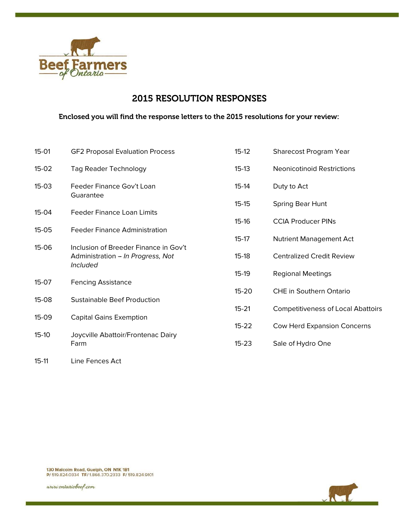

# 2015 RESOLUTION RESPONSES

## Enclosed you will find the response letters to the 2015 resolutions for your review:

| $15-01$   | <b>GF2 Proposal Evaluation Process</b>                                                        | $15-12$   | Sharecost Program Year                    |
|-----------|-----------------------------------------------------------------------------------------------|-----------|-------------------------------------------|
| $15-02$   | <b>Tag Reader Technology</b>                                                                  | $15-13$   | <b>Neonicotinoid Restrictions</b>         |
| $15-03$   | Feeder Finance Gov't Loan<br>Guarantee                                                        | $15-14$   | Duty to Act                               |
|           |                                                                                               | $15-15$   | Spring Bear Hunt                          |
| $15-04$   | <b>Feeder Finance Loan Limits</b>                                                             | $15 - 16$ | <b>CCIA Producer PINs</b>                 |
| $15-05$   | <b>Feeder Finance Administration</b>                                                          | $15-17$   | <b>Nutrient Management Act</b>            |
| 15-06     | Inclusion of Breeder Finance in Gov't<br>Administration - In Progress, Not<br><i>Included</i> | $15-18$   | <b>Centralized Credit Review</b>          |
|           |                                                                                               | $15-19$   | <b>Regional Meetings</b>                  |
| $15-07$   | <b>Fencing Assistance</b>                                                                     | $15 - 20$ | <b>CHE in Southern Ontario</b>            |
| $15-08$   | <b>Sustainable Beef Production</b>                                                            |           |                                           |
| 15-09     | <b>Capital Gains Exemption</b>                                                                | $15 - 21$ | <b>Competitiveness of Local Abattoirs</b> |
|           |                                                                                               | $15 - 22$ | Cow Herd Expansion Concerns               |
| $15-10$   | Joycville Abattoir/Frontenac Dairy<br>Farm                                                    | $15 - 23$ | Sale of Hydro One                         |
| $15 - 11$ | Line Fences Act                                                                               |           |                                           |



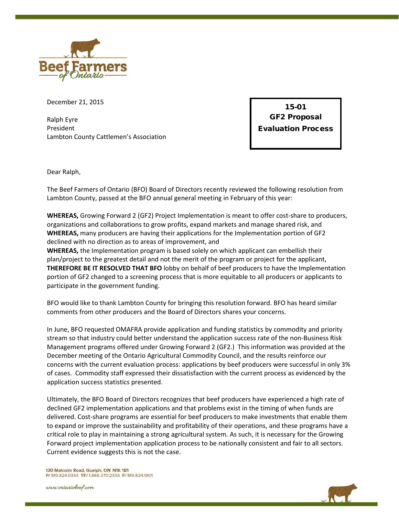

December 21, 2015

Ralph Eyre President Lambton County Cattlemen's Association

15-01 GF2 Proposal Evaluation Process

Dear Ralph,

The Beef Farmers of Ontario (BFO) Board of Directors recently reviewed the following resolution from Lambton County, passed at the BFO annual general meeting in February of this year:

**WHEREAS,** Growing Forward 2 (GF2) Project Implementation is meant to offer cost-share to producers, organizations and collaborations to grow profits, expand markets and manage shared risk, and **WHEREAS,** many producers are having their applications for the Implementation portion of GF2 declined with no direction as to areas of improvement, and

**WHEREAS,** the Implementation program is based solely on which applicant can embellish their plan/project to the greatest detail and not the merit of the program or project for the applicant, **THEREFORE BE IT RESOLVED THAT BFO** lobby on behalf of beef producers to have the Implementation portion of GF2 changed to a screening process that is more equitable to all producers or applicants to participate in the government funding.

BFO would like to thank Lambton County for bringing this resolution forward. BFO has heard similar comments from other producers and the Board of Directors shares your concerns.

In June, BFO requested OMAFRA provide application and funding statistics by commodity and priority stream so that industry could better understand the application success rate of the non-Business Risk Management programs offered under Growing Forward 2 (GF2.) This information was provided at the December meeting of the Ontario Agricultural Commodity Council, and the results reinforce our concerns with the current evaluation process: applications by beef producers were successful in only 3% of cases. Commodity staff expressed their dissatisfaction with the current process as evidenced by the application success statistics presented.

Ultimately, the BFO Board of Directors recognizes that beef producers have experienced a high rate of declined GF2 implementation applications and that problems exist in the timing of when funds are delivered. Cost-share programs are essential for beef producers to make investments that enable them to expand or improve the sustainability and profitability of their operations, and these programs have a critical role to play in maintaining a strong agricultural system. As such, it is necessary for the Growing Forward project implementation application process to be nationally consistent and fair to all sectors. Current evidence suggests this is not the case.

130 Malcolm Road, Guelph, ON N1K 1B1 P/ 519.824.0334 TF/ 1.866.370.2333 F/ 519.824.9101

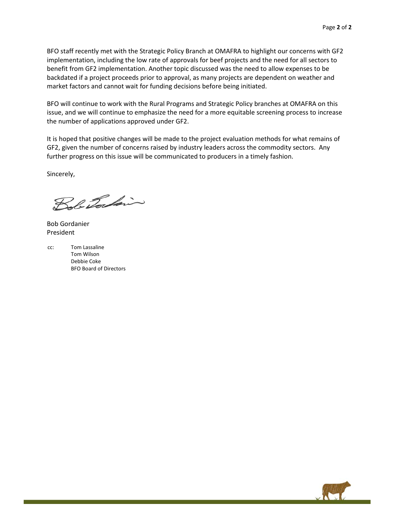BFO staff recently met with the Strategic Policy Branch at OMAFRA to highlight our concerns with GF2 implementation, including the low rate of approvals for beef projects and the need for all sectors to benefit from GF2 implementation. Another topic discussed was the need to allow expenses to be backdated if a project proceeds prior to approval, as many projects are dependent on weather and market factors and cannot wait for funding decisions before being initiated.

BFO will continue to work with the Rural Programs and Strategic Policy branches at OMAFRA on this issue, and we will continue to emphasize the need for a more equitable screening process to increase the number of applications approved under GF2.

It is hoped that positive changes will be made to the project evaluation methods for what remains of GF2, given the number of concerns raised by industry leaders across the commodity sectors. Any further progress on this issue will be communicated to producers in a timely fashion.

Sincerely,

Bob Tockin

Bob Gordanier President

cc: Tom Lassaline Tom Wilson Debbie Coke BFO Board of Directors

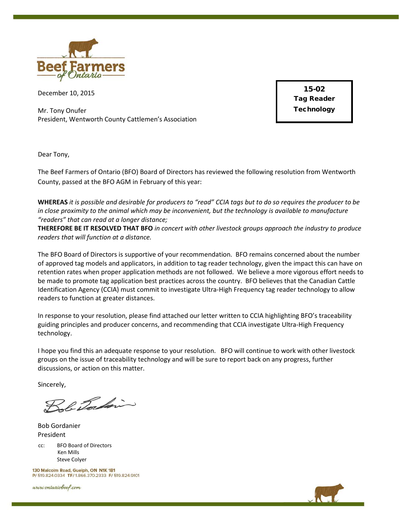

December 10, 2015

Mr. Tony Onufer President, Wentworth County Cattlemen's Association

15-02 Tag Reader **Technology** 

Dear Tony,

The Beef Farmers of Ontario (BFO) Board of Directors has reviewed the following resolution from Wentworth County, passed at the BFO AGM in February of this year:

**WHEREAS** *it is possible and desirable for producers to "read" CCIA tags but to do so requires the producer to be in close proximity to the animal which may be inconvenient, but the technology is available to manufacture "readers" that can read at a longer distance;*

**THEREFORE BE IT RESOLVED THAT BFO** *in concert with other livestock groups approach the industry to produce readers that will function at a distance.*

The BFO Board of Directors is supportive of your recommendation. BFO remains concerned about the number of approved tag models and applicators, in addition to tag reader technology, given the impact this can have on retention rates when proper application methods are not followed. We believe a more vigorous effort needs to be made to promote tag application best practices across the country. BFO believes that the Canadian Cattle Identification Agency (CCIA) must commit to investigate Ultra-High Frequency tag reader technology to allow readers to function at greater distances.

In response to your resolution, please find attached our letter written to CCIA highlighting BFO's traceability guiding principles and producer concerns, and recommending that CCIA investigate Ultra-High Frequency technology.

I hope you find this an adequate response to your resolution. BFO will continue to work with other livestock groups on the issue of traceability technology and will be sure to report back on any progress, further discussions, or action on this matter.

Sincerely,

Bob Tocking

Bob Gordanier President

cc: BFO Board of Directors Ken Mills Steve Colyer

130 Malcolm Road, Guelph, ON N1K 1B1 P/ 519.824.0334 TF/ 1.866.370.2333 F/ 519.824.9101

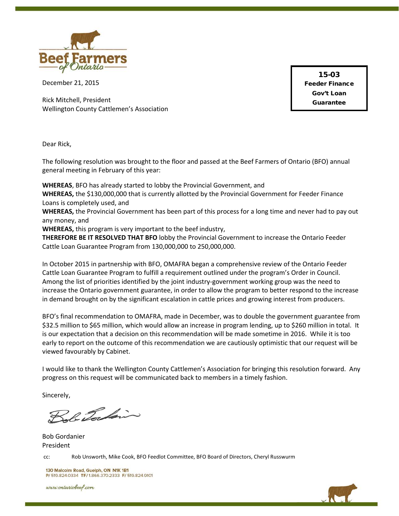

December 21, 2015

Rick Mitchell, President Wellington County Cattlemen's Association

15-03 Feeder Finance Gov't Loan Guarantee

Dear Rick,

The following resolution was brought to the floor and passed at the Beef Farmers of Ontario (BFO) annual general meeting in February of this year:

**WHEREAS**, BFO has already started to lobby the Provincial Government, and

**WHEREAS,** the \$130,000,000 that is currently allotted by the Provincial Government for Feeder Finance Loans is completely used, and

**WHEREAS,** the Provincial Government has been part of this process for a long time and never had to pay out any money, and

**WHEREAS,** this program is very important to the beef industry,

**THEREFORE BE IT RESOLVED THAT BFO** lobby the Provincial Government to increase the Ontario Feeder Cattle Loan Guarantee Program from 130,000,000 to 250,000,000.

In October 2015 in partnership with BFO, OMAFRA began a comprehensive review of the Ontario Feeder Cattle Loan Guarantee Program to fulfill a requirement outlined under the program's Order in Council. Among the list of priorities identified by the joint industry-government working group was the need to increase the Ontario government guarantee, in order to allow the program to better respond to the increase in demand brought on by the significant escalation in cattle prices and growing interest from producers.

BFO's final recommendation to OMAFRA, made in December, was to double the government guarantee from \$32.5 million to \$65 million, which would allow an increase in program lending, up to \$260 million in total. It is our expectation that a decision on this recommendation will be made sometime in 2016. While it is too early to report on the outcome of this recommendation we are cautiously optimistic that our request will be viewed favourably by Cabinet.

I would like to thank the Wellington County Cattlemen's Association for bringing this resolution forward. Any progress on this request will be communicated back to members in a timely fashion.

Sincerely,

Bob Tockin

Bob Gordanier President

cc: Rob Unsworth, Mike Cook, BFO Feedlot Committee, BFO Board of Directors, Cheryl Russwurm

130 Malcolm Road, Guelph, ON N1K 1B1 P/ 519 824 0334 TF/ 1.866 370 2333 F/ 519 824 9101

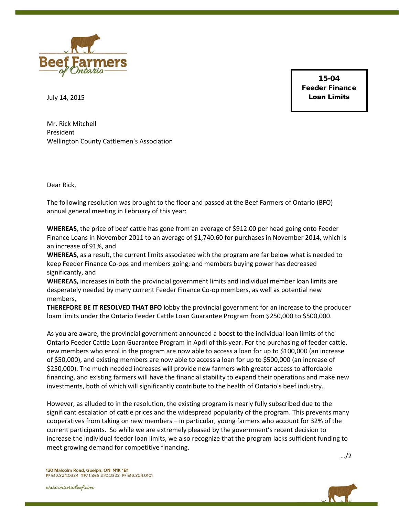

15-04 Feeder Finance Loan Limits

July 14, 2015

Mr. Rick Mitchell President Wellington County Cattlemen's Association

Dear Rick,

The following resolution was brought to the floor and passed at the Beef Farmers of Ontario (BFO) annual general meeting in February of this year:

**WHEREAS**, the price of beef cattle has gone from an average of \$912.00 per head going onto Feeder Finance Loans in November 2011 to an average of \$1,740.60 for purchases in November 2014, which is an increase of 91%, and

**WHEREAS**, as a result, the current limits associated with the program are far below what is needed to keep Feeder Finance Co-ops and members going; and members buying power has decreased significantly, and

**WHEREAS,** increases in both the provincial government limits and individual member loan limits are desperately needed by many current Feeder Finance Co-op members, as well as potential new members,

**THEREFORE BE IT RESOLVED THAT BFO** lobby the provincial government for an increase to the producer loam limits under the Ontario Feeder Cattle Loan Guarantee Program from \$250,000 to \$500,000.

As you are aware, the provincial government announced a boost to the individual loan limits of the Ontario Feeder Cattle Loan Guarantee Program in April of this year. For the purchasing of feeder cattle, new members who enrol in the program are now able to access a loan for up to \$100,000 (an increase of \$50,000), and existing members are now able to access a loan for up to \$500,000 (an increase of \$250,000). The much needed increases will provide new farmers with greater access to affordable financing, and existing farmers will have the financial stability to expand their operations and make new investments, both of which will significantly contribute to the health of Ontario's beef industry.

However, as alluded to in the resolution, the existing program is nearly fully subscribed due to the significant escalation of cattle prices and the widespread popularity of the program. This prevents many cooperatives from taking on new members – in particular, young farmers who account for 32% of the current participants. So while we are extremely pleased by the government's recent decision to increase the individual feeder loan limits, we also recognize that the program lacks sufficient funding to meet growing demand for competitive financing.

…/2

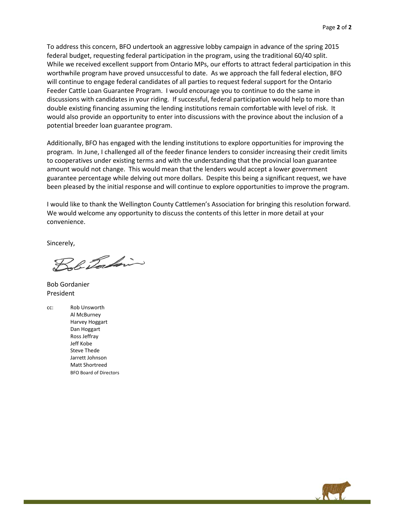To address this concern, BFO undertook an aggressive lobby campaign in advance of the spring 2015 federal budget, requesting federal participation in the program, using the traditional 60/40 split. While we received excellent support from Ontario MPs, our efforts to attract federal participation in this worthwhile program have proved unsuccessful to date. As we approach the fall federal election, BFO will continue to engage federal candidates of all parties to request federal support for the Ontario Feeder Cattle Loan Guarantee Program. I would encourage you to continue to do the same in discussions with candidates in your riding. If successful, federal participation would help to more than double existing financing assuming the lending institutions remain comfortable with level of risk. It would also provide an opportunity to enter into discussions with the province about the inclusion of a potential breeder loan guarantee program.

Additionally, BFO has engaged with the lending institutions to explore opportunities for improving the program. In June, I challenged all of the feeder finance lenders to consider increasing their credit limits to cooperatives under existing terms and with the understanding that the provincial loan guarantee amount would not change. This would mean that the lenders would accept a lower government guarantee percentage while delving out more dollars. Despite this being a significant request, we have been pleased by the initial response and will continue to explore opportunities to improve the program.

I would like to thank the Wellington County Cattlemen's Association for bringing this resolution forward. We would welcome any opportunity to discuss the contents of this letter in more detail at your convenience.

Sincerely,

Rhafain

Bob Gordanier President

cc: Rob Unsworth Al McBurney Harvey Hoggart Dan Hoggart Ross Jeffray Jeff Kobe Steve Thede Jarrett Johnson Matt Shortreed BFO Board of Directors

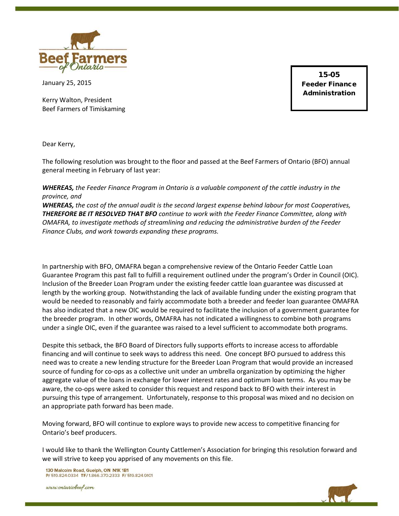

January 25, 2015

Kerry Walton, President Beef Farmers of Timiskaming

15-05 Feeder Finance Administration

Dear Kerry,

The following resolution was brought to the floor and passed at the Beef Farmers of Ontario (BFO) annual general meeting in February of last year:

*WHEREAS, the Feeder Finance Program in Ontario is a valuable component of the cattle industry in the province, and* 

*WHEREAS, the cost of the annual audit is the second largest expense behind labour for most Cooperatives, THEREFORE BE IT RESOLVED THAT BFO continue to work with the Feeder Finance Committee, along with OMAFRA, to investigate methods of streamlining and reducing the administrative burden of the Feeder Finance Clubs, and work towards expanding these programs.*

In partnership with BFO, OMAFRA began a comprehensive review of the Ontario Feeder Cattle Loan Guarantee Program this past fall to fulfill a requirement outlined under the program's Order in Council (OIC). Inclusion of the Breeder Loan Program under the existing feeder cattle loan guarantee was discussed at length by the working group. Notwithstanding the lack of available funding under the existing program that would be needed to reasonably and fairly accommodate both a breeder and feeder loan guarantee OMAFRA has also indicated that a new OIC would be required to facilitate the inclusion of a government guarantee for the breeder program. In other words, OMAFRA has not indicated a willingness to combine both programs under a single OIC, even if the guarantee was raised to a level sufficient to accommodate both programs.

Despite this setback, the BFO Board of Directors fully supports efforts to increase access to affordable financing and will continue to seek ways to address this need. One concept BFO pursued to address this need was to create a new lending structure for the Breeder Loan Program that would provide an increased source of funding for co-ops as a collective unit under an umbrella organization by optimizing the higher aggregate value of the loans in exchange for lower interest rates and optimum loan terms. As you may be aware, the co-ops were asked to consider this request and respond back to BFO with their interest in pursuing this type of arrangement. Unfortunately, response to this proposal was mixed and no decision on an appropriate path forward has been made.

Moving forward, BFO will continue to explore ways to provide new access to competitive financing for Ontario's beef producers.

I would like to thank the Wellington County Cattlemen's Association for bringing this resolution forward and we will strive to keep you apprised of any movements on this file.

130 Malcolm Road, Guelph, ON N1K 1B1 P/ 519.824.0334 TF/ 1.866.370.2333 F/ 519.824.9101

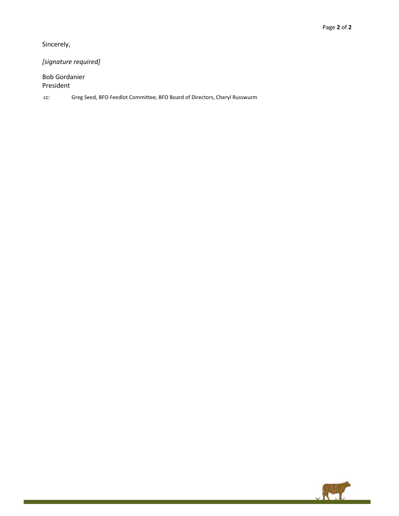Sincerely,

*[signature required]*

Bob Gordanier President

cc: Greg Seed, BFO Feedlot Committee, BFO Board of Directors, Cheryl Russwurm

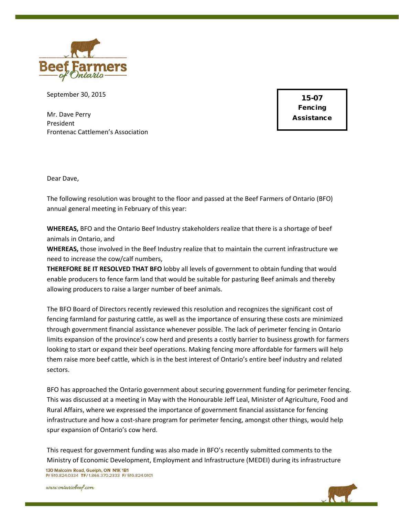

September 30, 2015

Mr. Dave Perry President Frontenac Cattlemen's Association

15-07 Fencing Assistance

Dear Dave,

The following resolution was brought to the floor and passed at the Beef Farmers of Ontario (BFO) annual general meeting in February of this year:

**WHEREAS,** BFO and the Ontario Beef Industry stakeholders realize that there is a shortage of beef animals in Ontario, and

**WHEREAS,** those involved in the Beef Industry realize that to maintain the current infrastructure we need to increase the cow/calf numbers,

**THEREFORE BE IT RESOLVED THAT BFO** lobby all levels of government to obtain funding that would enable producers to fence farm land that would be suitable for pasturing Beef animals and thereby allowing producers to raise a larger number of beef animals.

The BFO Board of Directors recently reviewed this resolution and recognizes the significant cost of fencing farmland for pasturing cattle, as well as the importance of ensuring these costs are minimized through government financial assistance whenever possible. The lack of perimeter fencing in Ontario limits expansion of the province's cow herd and presents a costly barrier to business growth for farmers looking to start or expand their beef operations. Making fencing more affordable for farmers will help them raise more beef cattle, which is in the best interest of Ontario's entire beef industry and related sectors.

BFO has approached the Ontario government about securing government funding for perimeter fencing. This was discussed at a meeting in May with the Honourable Jeff Leal, Minister of Agriculture, Food and Rural Affairs, where we expressed the importance of government financial assistance for fencing infrastructure and how a cost-share program for perimeter fencing, amongst other things, would help spur expansion of Ontario's cow herd.

This request for government funding was also made in BFO's recently submitted comments to the Ministry of Economic Development, Employment and Infrastructure (MEDEI) during its infrastructure

130 Malcolm Road, Guelph, ON N1K 1B1 P/ 519.824.0334 TF/ 1.866.370.2333 F/ 519.824.9101

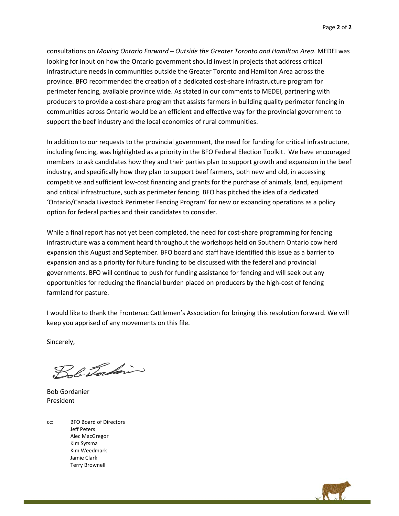consultations on *Moving Ontario Forward – Outside the Greater Toronto and Hamilton Area*. MEDEI was looking for input on how the Ontario government should invest in projects that address critical infrastructure needs in communities outside the Greater Toronto and Hamilton Area across the province. BFO recommended the creation of a dedicated cost-share infrastructure program for perimeter fencing, available province wide. As stated in our comments to MEDEI, partnering with producers to provide a cost-share program that assists farmers in building quality perimeter fencing in communities across Ontario would be an efficient and effective way for the provincial government to support the beef industry and the local economies of rural communities.

In addition to our requests to the provincial government, the need for funding for critical infrastructure, including fencing, was highlighted as a priority in the BFO Federal Election Toolkit. We have encouraged members to ask candidates how they and their parties plan to support growth and expansion in the beef industry, and specifically how they plan to support beef farmers, both new and old, in accessing competitive and sufficient low-cost financing and grants for the purchase of animals, land, equipment and critical infrastructure, such as perimeter fencing. BFO has pitched the idea of a dedicated 'Ontario/Canada Livestock Perimeter Fencing Program' for new or expanding operations as a policy option for federal parties and their candidates to consider.

While a final report has not yet been completed, the need for cost-share programming for fencing infrastructure was a comment heard throughout the workshops held on Southern Ontario cow herd expansion this August and September. BFO board and staff have identified this issue as a barrier to expansion and as a priority for future funding to be discussed with the federal and provincial governments. BFO will continue to push for funding assistance for fencing and will seek out any opportunities for reducing the financial burden placed on producers by the high-cost of fencing farmland for pasture.

I would like to thank the Frontenac Cattlemen's Association for bringing this resolution forward. We will keep you apprised of any movements on this file.

Sincerely,

Bob Torkin

Bob Gordanier President

cc: BFO Board of Directors Jeff Peters Alec MacGregor Kim Sytsma Kim Weedmark Jamie Clark Terry Brownell

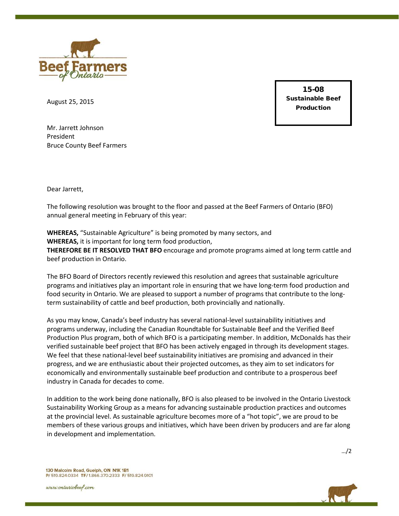

August 25, 2015

15-08 Sustainable Beef Production

Mr. Jarrett Johnson President Bruce County Beef Farmers

Dear Jarrett,

The following resolution was brought to the floor and passed at the Beef Farmers of Ontario (BFO) annual general meeting in February of this year:

**WHEREAS,** "Sustainable Agriculture" is being promoted by many sectors, and **WHEREAS,** it is important for long term food production, **THEREFORE BE IT RESOLVED THAT BFO** encourage and promote programs aimed at long term cattle and beef production in Ontario.

The BFO Board of Directors recently reviewed this resolution and agrees that sustainable agriculture programs and initiatives play an important role in ensuring that we have long-term food production and food security in Ontario. We are pleased to support a number of programs that contribute to the longterm sustainability of cattle and beef production, both provincially and nationally.

As you may know, Canada's beef industry has several national-level sustainability initiatives and programs underway, including the Canadian Roundtable for Sustainable Beef and the Verified Beef Production Plus program, both of which BFO is a participating member. In addition, McDonalds has their verified sustainable beef project that BFO has been actively engaged in through its development stages. We feel that these national-level beef sustainability initiatives are promising and advanced in their progress, and we are enthusiastic about their projected outcomes, as they aim to set indicators for economically and environmentally sustainable beef production and contribute to a prosperous beef industry in Canada for decades to come.

In addition to the work being done nationally, BFO is also pleased to be involved in the Ontario Livestock Sustainability Working Group as a means for advancing sustainable production practices and outcomes at the provincial level. As sustainable agriculture becomes more of a "hot topic", we are proud to be members of these various groups and initiatives, which have been driven by producers and are far along in development and implementation.

…/2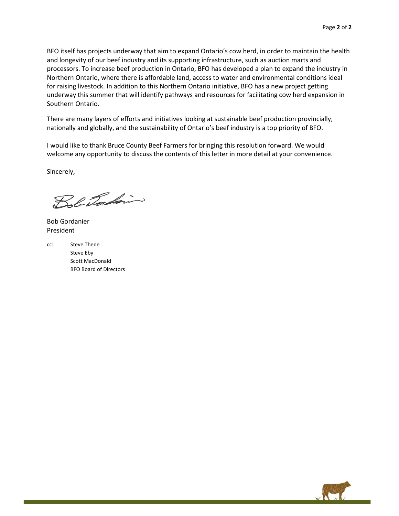BFO itself has projects underway that aim to expand Ontario's cow herd, in order to maintain the health and longevity of our beef industry and its supporting infrastructure, such as auction marts and processors. To increase beef production in Ontario, BFO has developed a plan to expand the industry in Northern Ontario, where there is affordable land, access to water and environmental conditions ideal for raising livestock. In addition to this Northern Ontario initiative, BFO has a new project getting underway this summer that will identify pathways and resources for facilitating cow herd expansion in Southern Ontario.

There are many layers of efforts and initiatives looking at sustainable beef production provincially, nationally and globally, and the sustainability of Ontario's beef industry is a top priority of BFO.

I would like to thank Bruce County Beef Farmers for bringing this resolution forward. We would welcome any opportunity to discuss the contents of this letter in more detail at your convenience.

Sincerely,

Bob Tockin

Bob Gordanier President

cc: Steve Thede Steve Eby Scott MacDonald BFO Board of Directors

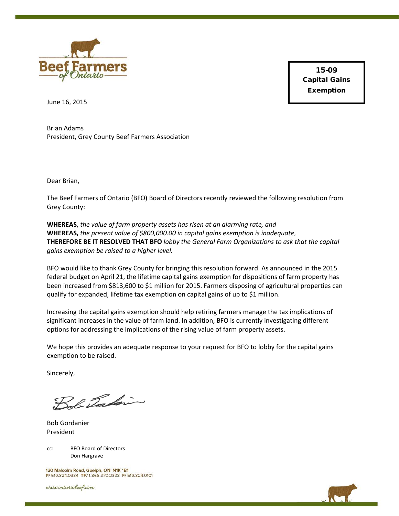

15-09 Capital Gains Exemption

June 16, 2015

Brian Adams President, Grey County Beef Farmers Association

Dear Brian,

The Beef Farmers of Ontario (BFO) Board of Directors recently reviewed the following resolution from Grey County:

**WHEREAS,** *the value of farm property assets has risen at an alarming rate, and* **WHEREAS,** *the present value of \$800,000.00 in capital gains exemption is inadequate*, **THEREFORE BE IT RESOLVED THAT BFO** *lobby the General Farm Organizations to ask that the capital gains exemption be raised to a higher level.*

BFO would like to thank Grey County for bringing this resolution forward. As announced in the 2015 federal budget on April 21, the lifetime capital gains exemption for dispositions of farm property has been increased from \$813,600 to \$1 million for 2015. Farmers disposing of agricultural properties can qualify for expanded, lifetime tax exemption on capital gains of up to \$1 million.

Increasing the capital gains exemption should help retiring farmers manage the tax implications of significant increases in the value of farm land. In addition, BFO is currently investigating different options for addressing the implications of the rising value of farm property assets.

We hope this provides an adequate response to your request for BFO to lobby for the capital gains exemption to be raised.

Sincerely,

Bob Tocking

Bob Gordanier President

cc: BFO Board of Directors Don Hargrave

130 Malcolm Road, Guelph, ON N1K 1B1 P/ 519.824.0334 TF/ 1.866.370.2333 F/ 519.824.9101

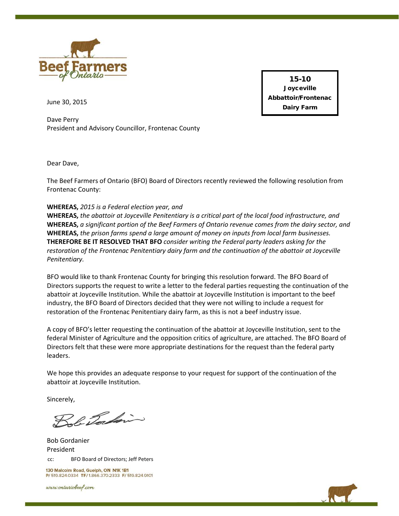

15-10 **Joyceville** Abbattoir/Frontenac Dairy Farm

June 30, 2015

Dave Perry President and Advisory Councillor, Frontenac County

Dear Dave,

The Beef Farmers of Ontario (BFO) Board of Directors recently reviewed the following resolution from Frontenac County:

### **WHEREAS,** *2015 is a Federal election year, and*

**WHEREAS,** *the abattoir at Joyceville Penitentiary is a critical part of the local food infrastructure, and* **WHEREAS,** *a significant portion of the Beef Farmers of Ontario revenue comes from the dairy sector, and* **WHEREAS,** *the prison farms spend a large amount of money on inputs from local farm businesses.* **THEREFORE BE IT RESOLVED THAT BFO** *consider writing the Federal party leaders asking for the restoration of the Frontenac Penitentiary dairy farm and the continuation of the abattoir at Joyceville Penitentiary.*

BFO would like to thank Frontenac County for bringing this resolution forward. The BFO Board of Directors supports the request to write a letter to the federal parties requesting the continuation of the abattoir at Joyceville Institution. While the abattoir at Joyceville Institution is important to the beef industry, the BFO Board of Directors decided that they were not willing to include a request for restoration of the Frontenac Penitentiary dairy farm, as this is not a beef industry issue.

A copy of BFO's letter requesting the continuation of the abattoir at Joyceville Institution, sent to the federal Minister of Agriculture and the opposition critics of agriculture, are attached. The BFO Board of Directors felt that these were more appropriate destinations for the request than the federal party leaders.

We hope this provides an adequate response to your request for support of the continuation of the abattoir at Joyceville Institution.

Sincerely,

Bob Tockin

cc: BFO Board of Directors; Jeff Peters Bob Gordanier President

130 Malcolm Road, Guelph, ON N1K 1B1 P/ 519.824.0334 TF/ 1.866.370.2333 F/ 519.824.9101

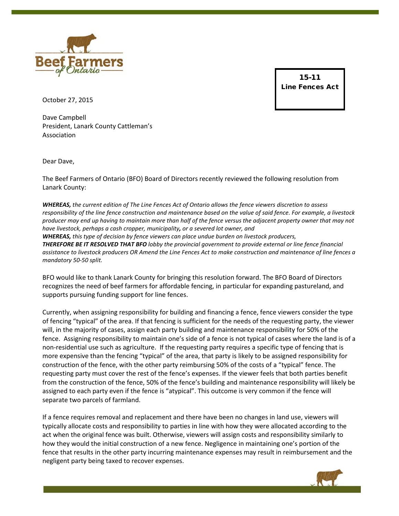

15-11 Line Fences Act

October 27, 2015

Dave Campbell President, Lanark County Cattleman's Association

Dear Dave,

The Beef Farmers of Ontario (BFO) Board of Directors recently reviewed the following resolution from Lanark County:

*WHEREAS, the current edition of The Line Fences Act of Ontario allows the fence viewers discretion to assess responsibility of the line fence construction and maintenance based on the value of said fence. For example, a livestock producer may end up having to maintain more than half of the fence versus the adjacent property owner that may not have livestock, perhaps a cash cropper, municipality, or a severed lot owner, and WHEREAS, this type of decision by fence viewers can place undue burden on livestock producers, THEREFORE BE IT RESOLVED THAT BFO lobby the provincial government to provide external or line fence financial assistance to livestock producers OR Amend the Line Fences Act to make construction and maintenance of line fences a mandatory 50-50 split.*

BFO would like to thank Lanark County for bringing this resolution forward. The BFO Board of Directors recognizes the need of beef farmers for affordable fencing, in particular for expanding pastureland, and supports pursuing funding support for line fences.

Currently, when assigning responsibility for building and financing a fence, fence viewers consider the type of fencing "typical" of the area. If that fencing is sufficient for the needs of the requesting party, the viewer will, in the majority of cases, assign each party building and maintenance responsibility for 50% of the fence. Assigning responsibility to maintain one's side of a fence is not typical of cases where the land is of a non-residential use such as agriculture. If the requesting party requires a specific type of fencing that is more expensive than the fencing "typical" of the area, that party is likely to be assigned responsibility for construction of the fence, with the other party reimbursing 50% of the costs of a "typical" fence. The requesting party must cover the rest of the fence's expenses. If the viewer feels that both parties benefit from the construction of the fence, 50% of the fence's building and maintenance responsibility will likely be assigned to each party even if the fence is "atypical". This outcome is very common if the fence will separate two parcels of farmland.

If a fence requires removal and replacement and there have been no changes in land use, viewers will typically allocate costs and responsibility to parties in line with how they were allocated according to the act when the original fence was built. Otherwise, viewers will assign costs and responsibility similarly to how they would the initial construction of a new fence. Negligence in maintaining one's portion of the fence that results in the other party incurring maintenance expenses may result in reimbursement and the negligent party being taxed to recover expenses.

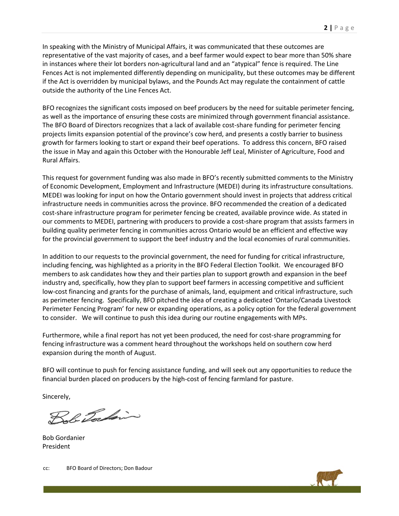In speaking with the Ministry of Municipal Affairs, it was communicated that these outcomes are representative of the vast majority of cases, and a beef farmer would expect to bear more than 50% share in instances where their lot borders non-agricultural land and an "atypical" fence is required. The Line Fences Act is not implemented differently depending on municipality, but these outcomes may be different if the Act is overridden by municipal bylaws, and the Pounds Act may regulate the containment of cattle outside the authority of the Line Fences Act.

BFO recognizes the significant costs imposed on beef producers by the need for suitable perimeter fencing, as well as the importance of ensuring these costs are minimized through government financial assistance. The BFO Board of Directors recognizes that a lack of available cost-share funding for perimeter fencing projects limits expansion potential of the province's cow herd, and presents a costly barrier to business growth for farmers looking to start or expand their beef operations. To address this concern, BFO raised the issue in May and again this October with the Honourable Jeff Leal, Minister of Agriculture, Food and Rural Affairs.

This request for government funding was also made in BFO's recently submitted comments to the Ministry of Economic Development, Employment and Infrastructure (MEDEI) during its infrastructure consultations. MEDEI was looking for input on how the Ontario government should invest in projects that address critical infrastructure needs in communities across the province. BFO recommended the creation of a dedicated cost-share infrastructure program for perimeter fencing be created, available province wide. As stated in our comments to MEDEI, partnering with producers to provide a cost-share program that assists farmers in building quality perimeter fencing in communities across Ontario would be an efficient and effective way for the provincial government to support the beef industry and the local economies of rural communities.

In addition to our requests to the provincial government, the need for funding for critical infrastructure, including fencing, was highlighted as a priority in the BFO Federal Election Toolkit. We encouraged BFO members to ask candidates how they and their parties plan to support growth and expansion in the beef industry and, specifically, how they plan to support beef farmers in accessing competitive and sufficient low-cost financing and grants for the purchase of animals, land, equipment and critical infrastructure, such as perimeter fencing. Specifically, BFO pitched the idea of creating a dedicated 'Ontario/Canada Livestock Perimeter Fencing Program' for new or expanding operations, as a policy option for the federal government to consider. We will continue to push this idea during our routine engagements with MPs.

Furthermore, while a final report has not yet been produced, the need for cost-share programming for fencing infrastructure was a comment heard throughout the workshops held on southern cow herd expansion during the month of August.

BFO will continue to push for fencing assistance funding, and will seek out any opportunities to reduce the financial burden placed on producers by the high-cost of fencing farmland for pasture.

Sincerely,

Bob Torkin

Bob Gordanier President

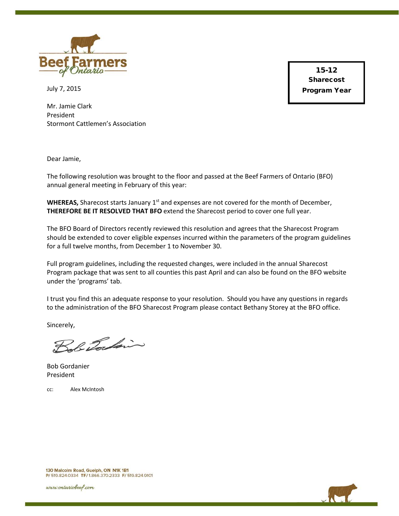

July 7, 2015

15-12 **Sharecost** Program Year

Mr. Jamie Clark President Stormont Cattlemen's Association

Dear Jamie,

The following resolution was brought to the floor and passed at the Beef Farmers of Ontario (BFO) annual general meeting in February of this year:

**WHEREAS,** Sharecost starts January 1<sup>st</sup> and expenses are not covered for the month of December, **THEREFORE BE IT RESOLVED THAT BFO** extend the Sharecost period to cover one full year.

The BFO Board of Directors recently reviewed this resolution and agrees that the Sharecost Program should be extended to cover eligible expenses incurred within the parameters of the program guidelines for a full twelve months, from December 1 to November 30.

Full program guidelines, including the requested changes, were included in the annual Sharecost Program package that was sent to all counties this past April and can also be found on the BFO website under the 'programs' tab.

I trust you find this an adequate response to your resolution. Should you have any questions in regards to the administration of the BFO Sharecost Program please contact Bethany Storey at the BFO office.

Sincerely,

Sol Tochin

Bob Gordanier President

cc: Alex McIntosh



130 Malcolm Road, Guelph, ON N1K 1B1 P/ 519.824.0334 TF/ 1.866.370.2333 F/ 519.824.9101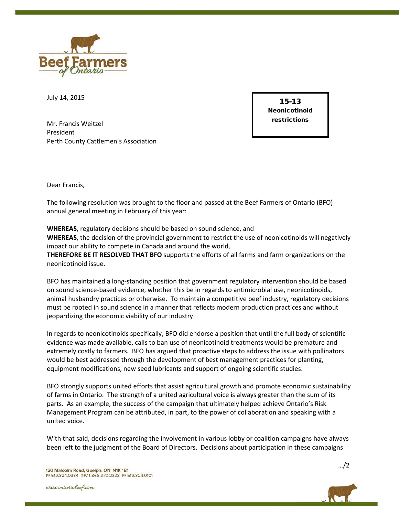

July 14, 2015

Mr. Francis Weitzel President Perth County Cattlemen's Association

15-13 Neonicotinoid restrictions

Dear Francis,

The following resolution was brought to the floor and passed at the Beef Farmers of Ontario (BFO) annual general meeting in February of this year:

**WHEREAS,** regulatory decisions should be based on sound science, and **WHEREAS**, the decision of the provincial government to restrict the use of neonicotinoids will negatively impact our ability to compete in Canada and around the world, **THEREFORE BE IT RESOLVED THAT BFO** supports the efforts of all farms and farm organizations on the neonicotinoid issue.

BFO has maintained a long-standing position that government regulatory intervention should be based on sound science-based evidence, whether this be in regards to antimicrobial use, neonicotinoids, animal husbandry practices or otherwise. To maintain a competitive beef industry, regulatory decisions must be rooted in sound science in a manner that reflects modern production practices and without jeopardizing the economic viability of our industry.

In regards to neonicotinoids specifically, BFO did endorse a position that until the full body of scientific evidence was made available, calls to ban use of neonicotinoid treatments would be premature and extremely costly to farmers. BFO has argued that proactive steps to address the issue with pollinators would be best addressed through the development of best management practices for planting, equipment modifications, new seed lubricants and support of ongoing scientific studies.

BFO strongly supports united efforts that assist agricultural growth and promote economic sustainability of farms in Ontario. The strength of a united agricultural voice is always greater than the sum of its parts. As an example, the success of the campaign that ultimately helped achieve Ontario's Risk Management Program can be attributed, in part, to the power of collaboration and speaking with a united voice.

With that said, decisions regarding the involvement in various lobby or coalition campaigns have always been left to the judgment of the Board of Directors. Decisions about participation in these campaigns

www.ontariobeef.com

…/2

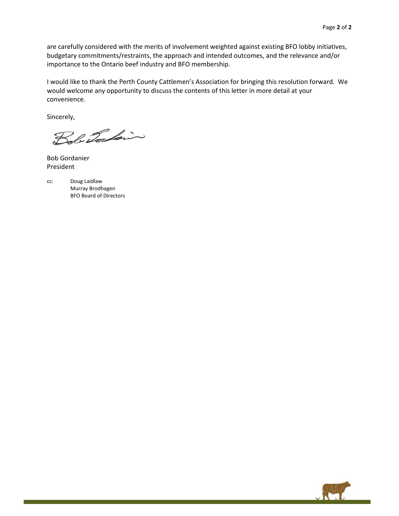are carefully considered with the merits of involvement weighted against existing BFO lobby initiatives, budgetary commitments/restraints, the approach and intended outcomes, and the relevance and/or importance to the Ontario beef industry and BFO membership.

I would like to thank the Perth County Cattlemen's Association for bringing this resolution forward. We would welcome any opportunity to discuss the contents of this letter in more detail at your convenience.

Sincerely,

Bob Tockin

Bob Gordanier President

cc: Doug Laidlaw Murray Brodhagen BFO Board of Directors

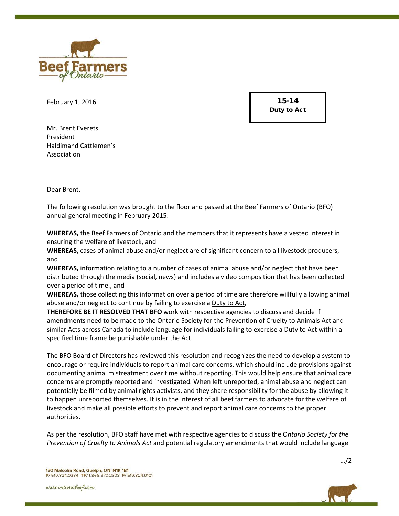

February 1, 2016

15-14 Duty to Act

Mr. Brent Everets President Haldimand Cattlemen's Association

Dear Brent,

The following resolution was brought to the floor and passed at the Beef Farmers of Ontario (BFO) annual general meeting in February 2015:

**WHEREAS,** the Beef Farmers of Ontario and the members that it represents have a vested interest in ensuring the welfare of livestock, and

**WHEREAS,** cases of animal abuse and/or neglect are of significant concern to all livestock producers, and

**WHEREAS,** information relating to a number of cases of animal abuse and/or neglect that have been distributed through the media (social, news) and includes a video composition that has been collected over a period of time., and

**WHEREAS,** those collecting this information over a period of time are therefore willfully allowing animal abuse and/or neglect to continue by failing to exercise a Duty to Act,

**THEREFORE BE IT RESOLVED THAT BFO** work with respective agencies to discuss and decide if amendments need to be made to the Ontario Society for the Prevention of Cruelty to Animals Act and similar Acts across Canada to include language for individuals failing to exercise a Duty to Act within a specified time frame be punishable under the Act.

The BFO Board of Directors has reviewed this resolution and recognizes the need to develop a system to encourage or require individuals to report animal care concerns, which should include provisions against documenting animal mistreatment over time without reporting. This would help ensure that animal care concerns are promptly reported and investigated. When left unreported, animal abuse and neglect can potentially be filmed by animal rights activists, and they share responsibility for the abuse by allowing it to happen unreported themselves. It is in the interest of all beef farmers to advocate for the welfare of livestock and make all possible efforts to prevent and report animal care concerns to the proper authorities.

As per the resolution, BFO staff have met with respective agencies to discuss the O*ntario Society for the Prevention of Cruelty to Animals Act* and potential regulatory amendments that would include language

www.ontariobeef.com

…/2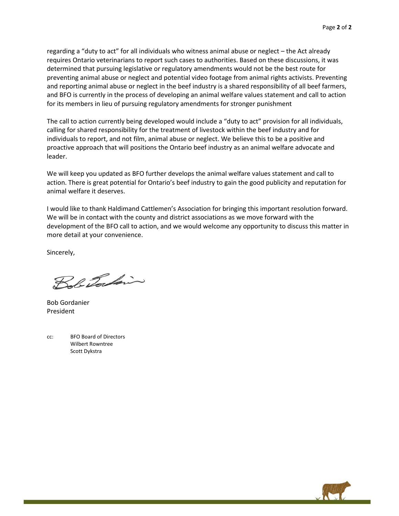regarding a "duty to act" for all individuals who witness animal abuse or neglect – the Act already requires Ontario veterinarians to report such cases to authorities. Based on these discussions, it was determined that pursuing legislative or regulatory amendments would not be the best route for preventing animal abuse or neglect and potential video footage from animal rights activists. Preventing and reporting animal abuse or neglect in the beef industry is a shared responsibility of all beef farmers, and BFO is currently in the process of developing an animal welfare values statement and call to action for its members in lieu of pursuing regulatory amendments for stronger punishment

The call to action currently being developed would include a "duty to act" provision for all individuals, calling for shared responsibility for the treatment of livestock within the beef industry and for individuals to report, and not film, animal abuse or neglect. We believe this to be a positive and proactive approach that will positions the Ontario beef industry as an animal welfare advocate and leader.

We will keep you updated as BFO further develops the animal welfare values statement and call to action. There is great potential for Ontario's beef industry to gain the good publicity and reputation for animal welfare it deserves.

I would like to thank Haldimand Cattlemen's Association for bringing this important resolution forward. We will be in contact with the county and district associations as we move forward with the development of the BFO call to action, and we would welcome any opportunity to discuss this matter in more detail at your convenience.

Sincerely,

Bob Torkin

Bob Gordanier President

cc: BFO Board of Directors Wilbert Rowntree Scott Dykstra

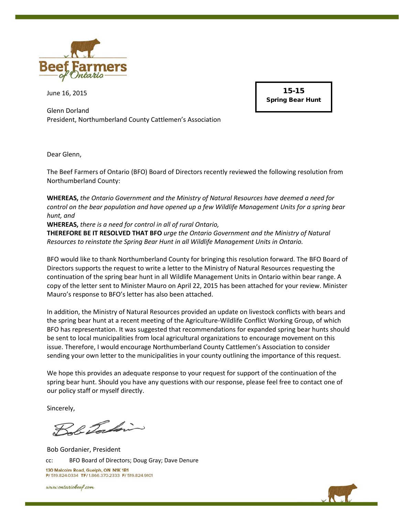

June 16, 2015

Glenn Dorland President, Northumberland County Cattlemen's Association

15-15 Spring Bear Hunt

Dear Glenn,

The Beef Farmers of Ontario (BFO) Board of Directors recently reviewed the following resolution from Northumberland County:

**WHEREAS,** *the Ontario Government and the Ministry of Natural Resources have deemed a need for control on the bear population and have opened up a few Wildlife Management Units for a spring bear hunt, and*

**WHEREAS,** *there is a need for control in all of rural Ontario,*

**THEREFORE BE IT RESOLVED THAT BFO** *urge the Ontario Government and the Ministry of Natural Resources to reinstate the Spring Bear Hunt in all Wildlife Management Units in Ontario.*

BFO would like to thank Northumberland County for bringing this resolution forward. The BFO Board of Directors supports the request to write a letter to the Ministry of Natural Resources requesting the continuation of the spring bear hunt in all Wildlife Management Units in Ontario within bear range. A copy of the letter sent to Minister Mauro on April 22, 2015 has been attached for your review. Minister Mauro's response to BFO's letter has also been attached.

In addition, the Ministry of Natural Resources provided an update on livestock conflicts with bears and the spring bear hunt at a recent meeting of the Agriculture-Wildlife Conflict Working Group, of which BFO has representation. It was suggested that recommendations for expanded spring bear hunts should be sent to local municipalities from local agricultural organizations to encourage movement on this issue. Therefore, I would encourage Northumberland County Cattlemen's Association to consider sending your own letter to the municipalities in your county outlining the importance of this request.

We hope this provides an adequate response to your request for support of the continuation of the spring bear hunt. Should you have any questions with our response, please feel free to contact one of our policy staff or myself directly.

Sincerely,

Sol Tockin

Bob Gordanier, President cc: BFO Board of Directors; Doug Gray; Dave Denure 130 Malcolm Road, Guelph, ON N1K 1B1 P/ 519.824.0334 TF/ 1.866.370.2333 F/ 519.824.9101

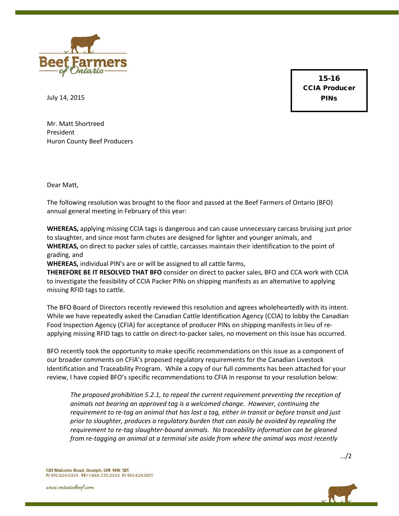

15-16 CCIA Producer PINs

July 14, 2015

Mr. Matt Shortreed President Huron County Beef Producers

Dear Matt,

The following resolution was brought to the floor and passed at the Beef Farmers of Ontario (BFO) annual general meeting in February of this year:

**WHEREAS,** applying missing CCIA tags is dangerous and can cause unnecessary carcass bruising just prior to slaughter, and since most farm chutes are designed for lighter and younger animals, and **WHEREAS,** on direct to packer sales of cattle, carcasses maintain their identification to the point of grading, and

**WHEREAS,** individual PIN's are or will be assigned to all cattle farms,

**THEREFORE BE IT RESOLVED THAT BFO** consider on direct to packer sales, BFO and CCA work with CCIA to investigate the feasibility of CCIA Packer PINs on shipping manifests as an alternative to applying missing RFID tags to cattle.

The BFO Board of Directors recently reviewed this resolution and agrees wholeheartedly with its intent. While we have repeatedly asked the Canadian Cattle Identification Agency (CCIA) to lobby the Canadian Food Inspection Agency (CFIA) for acceptance of producer PINs on shipping manifests in lieu of reapplying missing RFID tags to cattle on direct-to-packer sales, no movement on this issue has occurred.

BFO recently took the opportunity to make specific recommendations on this issue as a component of our broader comments on CFIA's proposed regulatory requirements for the Canadian Livestock Identification and Traceability Program.While a copy of our full comments has been attached for your review, I have copied BFO's specific recommendations to CFIA in response to your resolution below:

*The proposed prohibition 5.2.1, to repeal the current requirement preventing the reception of animals not bearing an approved tag is a welcomed change. However, continuing the requirement to re-tag an animal that has lost a tag, either in transit or before transit and just prior to slaughter, produces a regulatory burden that can easily be avoided by repealing the requirement to re-tag slaughter-bound animals. No traceability information can be gleaned from re-tagging an animal at a terminal site aside from where the animal was most recently* 



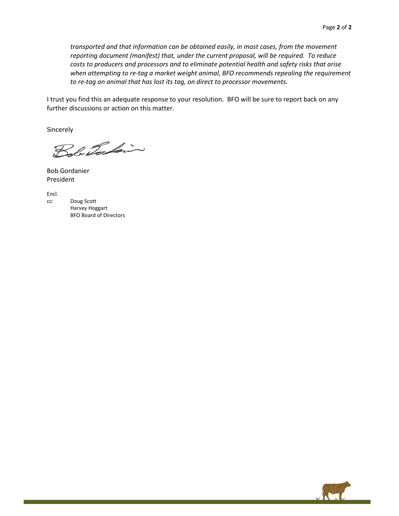*transported and that information can be obtained easily, in most cases, from the movement reporting document (manifest) that, under the current proposal, will be required. To reduce costs to producers and processors and to eliminate potential health and safety risks that arise when attempting to re-tag a market weight animal, BFO recommends repealing the requirement to re-tag an animal that has lost its tag, on direct to processor movements.* 

I trust you find this an adequate response to your resolution. BFO will be sure to report back on any further discussions or action on this matter.

Sincerely

Bob Tocking

Bob Gordanier President

Encl.

cc: Doug Scott Harvey Hoggart BFO Board of Directors

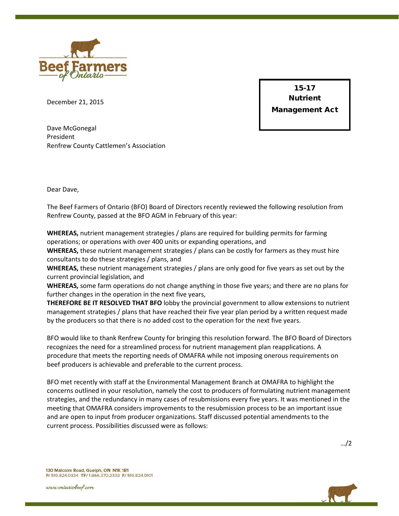

December 21, 2015

15-17 **Nutrient** Management Act

Dave McGonegal President Renfrew County Cattlemen's Association

Dear Dave,

The Beef Farmers of Ontario (BFO) Board of Directors recently reviewed the following resolution from Renfrew County, passed at the BFO AGM in February of this year:

**WHEREAS,** nutrient management strategies / plans are required for building permits for farming operations; or operations with over 400 units or expanding operations, and

**WHEREAS,** these nutrient management strategies / plans can be costly for farmers as they must hire consultants to do these strategies / plans, and

**WHEREAS,** these nutrient management strategies / plans are only good for five years as set out by the current provincial legislation, and

**WHEREAS,** some farm operations do not change anything in those five years; and there are no plans for further changes in the operation in the next five years,

**THEREFORE BE IT RESOLVED THAT BFO** lobby the provincial government to allow extensions to nutrient management strategies / plans that have reached their five year plan period by a written request made by the producers so that there is no added cost to the operation for the next five years.

BFO would like to thank Renfrew County for bringing this resolution forward. The BFO Board of Directors recognizes the need for a streamlined process for nutrient management plan reapplications. A procedure that meets the reporting needs of OMAFRA while not imposing onerous requirements on beef producers is achievable and preferable to the current process.

BFO met recently with staff at the Environmental Management Branch at OMAFRA to highlight the concerns outlined in your resolution, namely the cost to producers of formulating nutrient management strategies, and the redundancy in many cases of resubmissions every five years. It was mentioned in the meeting that OMAFRA considers improvements to the resubmission process to be an important issue and are open to input from producer organizations. Staff discussed potential amendments to the current process. Possibilities discussed were as follows:

…/2

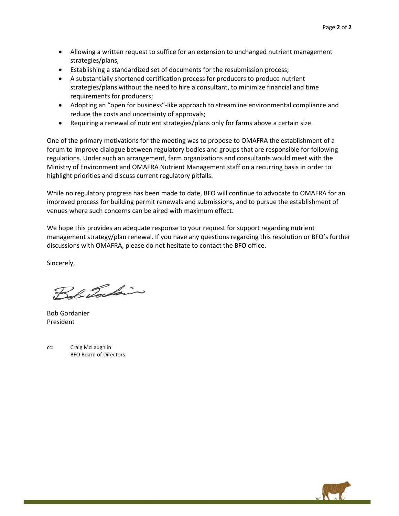- Allowing a written request to suffice for an extension to unchanged nutrient management strategies/plans;
- Establishing a standardized set of documents for the resubmission process;
- A substantially shortened certification process for producers to produce nutrient strategies/plans without the need to hire a consultant, to minimize financial and time requirements for producers;
- Adopting an "open for business"-like approach to streamline environmental compliance and reduce the costs and uncertainty of approvals;
- Requiring a renewal of nutrient strategies/plans only for farms above a certain size.

One of the primary motivations for the meeting was to propose to OMAFRA the establishment of a forum to improve dialogue between regulatory bodies and groups that are responsible for following regulations. Under such an arrangement, farm organizations and consultants would meet with the Ministry of Environment and OMAFRA Nutrient Management staff on a recurring basis in order to highlight priorities and discuss current regulatory pitfalls.

While no regulatory progress has been made to date, BFO will continue to advocate to OMAFRA for an improved process for building permit renewals and submissions, and to pursue the establishment of venues where such concerns can be aired with maximum effect.

We hope this provides an adequate response to your request for support regarding nutrient management strategy/plan renewal. If you have any questions regarding this resolution or BFO's further discussions with OMAFRA, please do not hesitate to contact the BFO office.

Sincerely,

Bob Tockin

Bob Gordanier President

cc: Craig McLaughlin BFO Board of Directors

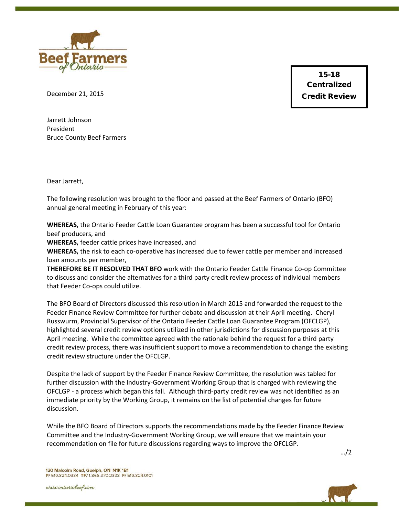

15-18 Centralized Credit Review

December 21, 2015

Jarrett Johnson President Bruce County Beef Farmers

Dear Jarrett,

The following resolution was brought to the floor and passed at the Beef Farmers of Ontario (BFO) annual general meeting in February of this year:

**WHEREAS,** the Ontario Feeder Cattle Loan Guarantee program has been a successful tool for Ontario beef producers, and

**WHEREAS,** feeder cattle prices have increased, and

**WHEREAS,** the risk to each co-operative has increased due to fewer cattle per member and increased loan amounts per member,

**THEREFORE BE IT RESOLVED THAT BFO** work with the Ontario Feeder Cattle Finance Co-op Committee to discuss and consider the alternatives for a third party credit review process of individual members that Feeder Co-ops could utilize.

The BFO Board of Directors discussed this resolution in March 2015 and forwarded the request to the Feeder Finance Review Committee for further debate and discussion at their April meeting. Cheryl Russwurm, Provincial Supervisor of the Ontario Feeder Cattle Loan Guarantee Program (OFCLGP), highlighted several credit review options utilized in other jurisdictions for discussion purposes at this April meeting. While the committee agreed with the rationale behind the request for a third party credit review process, there was insufficient support to move a recommendation to change the existing credit review structure under the OFCLGP.

Despite the lack of support by the Feeder Finance Review Committee, the resolution was tabled for further discussion with the Industry-Government Working Group that is charged with reviewing the OFCLGP - a process which began this fall. Although third-party credit review was not identified as an immediate priority by the Working Group, it remains on the list of potential changes for future discussion.

While the BFO Board of Directors supports the recommendations made by the Feeder Finance Review Committee and the Industry-Government Working Group, we will ensure that we maintain your recommendation on file for future discussions regarding ways to improve the OFCLGP.

…/2

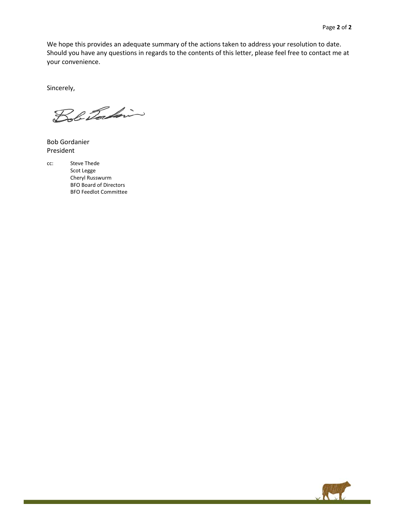We hope this provides an adequate summary of the actions taken to address your resolution to date. Should you have any questions in regards to the contents of this letter, please feel free to contact me at your convenience.

Sincerely,

Bob Tockin

Bob Gordanier President

cc: Steve Thede Scot Legge Cheryl Russwurm BFO Board of Directors BFO Feedlot Committee

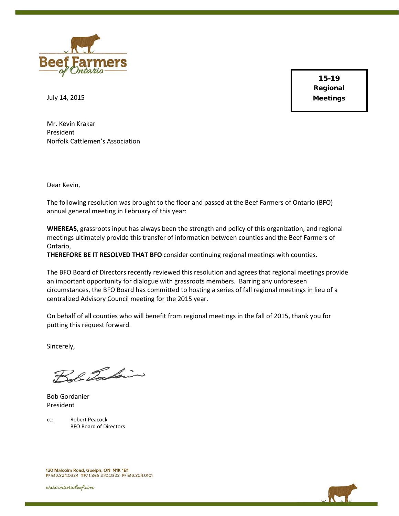

15-19 Regional Meetings

July 14, 2015

Mr. Kevin Krakar President Norfolk Cattlemen's Association

Dear Kevin,

The following resolution was brought to the floor and passed at the Beef Farmers of Ontario (BFO) annual general meeting in February of this year:

**WHEREAS,** grassroots input has always been the strength and policy of this organization, and regional meetings ultimately provide this transfer of information between counties and the Beef Farmers of Ontario,

**THEREFORE BE IT RESOLVED THAT BFO** consider continuing regional meetings with counties.

The BFO Board of Directors recently reviewed this resolution and agrees that regional meetings provide an important opportunity for dialogue with grassroots members. Barring any unforeseen circumstances, the BFO Board has committed to hosting a series of fall regional meetings in lieu of a centralized Advisory Council meeting for the 2015 year.

On behalf of all counties who will benefit from regional meetings in the fall of 2015, thank you for putting this request forward.

Sincerely,

Bob Tockin

Bob Gordanier President

cc: Robert Peacock BFO Board of Directors

130 Malcolm Road, Guelph, ON N1K 1B1 P/ 519.824.0334 TF/ 1.866.370.2333 F/ 519.824.9101

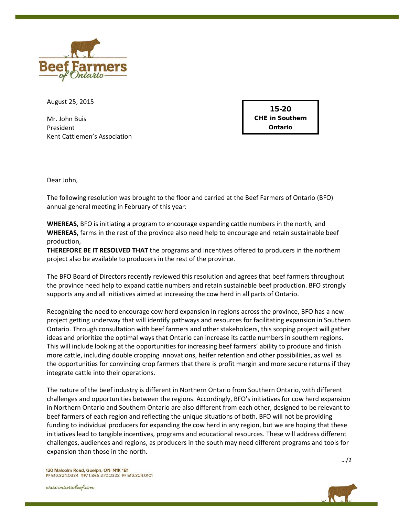

August 25, 2015

Mr. John Buis President Kent Cattlemen's Association

15-20 CHE in Southern Ontario

Dear John,

The following resolution was brought to the floor and carried at the Beef Farmers of Ontario (BFO) annual general meeting in February of this year:

**WHEREAS,** BFO is initiating a program to encourage expanding cattle numbers in the north, and **WHEREAS,** farms in the rest of the province also need help to encourage and retain sustainable beef production,

**THEREFORE BE IT RESOLVED THAT** the programs and incentives offered to producers in the northern project also be available to producers in the rest of the province.

The BFO Board of Directors recently reviewed this resolution and agrees that beef farmers throughout the province need help to expand cattle numbers and retain sustainable beef production. BFO strongly supports any and all initiatives aimed at increasing the cow herd in all parts of Ontario.

Recognizing the need to encourage cow herd expansion in regions across the province, BFO has a new project getting underway that will identify pathways and resources for facilitating expansion in Southern Ontario. Through consultation with beef farmers and other stakeholders, this scoping project will gather ideas and prioritize the optimal ways that Ontario can increase its cattle numbers in southern regions. This will include looking at the opportunities for increasing beef farmers' ability to produce and finish more cattle, including double cropping innovations, heifer retention and other possibilities, as well as the opportunities for convincing crop farmers that there is profit margin and more secure returns if they integrate cattle into their operations.

The nature of the beef industry is different in Northern Ontario from Southern Ontario, with different challenges and opportunities between the regions. Accordingly, BFO's initiatives for cow herd expansion in Northern Ontario and Southern Ontario are also different from each other, designed to be relevant to beef farmers of each region and reflecting the unique situations of both. BFO will not be providing funding to individual producers for expanding the cow herd in any region, but we are hoping that these initiatives lead to tangible incentives, programs and educational resources. These will address different challenges, audiences and regions, as producers in the south may need different programs and tools for expansion than those in the north.

…/2

130 Malcolm Road, Guelph, ON N1K 1B1 P/ 519.824.0334 TF/ 1.866.370.2333 F/ 519.824.9101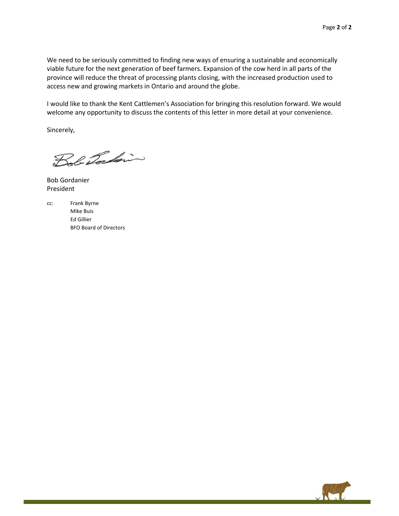We need to be seriously committed to finding new ways of ensuring a sustainable and economically viable future for the next generation of beef farmers. Expansion of the cow herd in all parts of the province will reduce the threat of processing plants closing, with the increased production used to access new and growing markets in Ontario and around the globe.

I would like to thank the Kent Cattlemen's Association for bringing this resolution forward. We would welcome any opportunity to discuss the contents of this letter in more detail at your convenience.

Sincerely,

Bob Tockin

Bob Gordanier President



Mike Buis Ed Gillier BFO Board of Directors

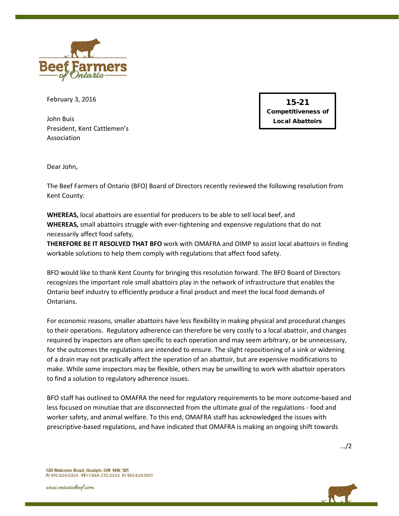

February 3, 2016

John Buis President, Kent Cattlemen's Association

15-21 Competitiveness of Local Abattoirs

Dear John,

The Beef Farmers of Ontario (BFO) Board of Directors recently reviewed the following resolution from Kent County:

**WHEREAS,** local abattoirs are essential for producers to be able to sell local beef, and **WHEREAS,** small abattoirs struggle with ever-tightening and expensive regulations that do not necessarily affect food safety,

**THEREFORE BE IT RESOLVED THAT BFO** work with OMAFRA and OIMP to assist local abattoirs in finding workable solutions to help them comply with regulations that affect food safety.

BFO would like to thank Kent County for bringing this resolution forward. The BFO Board of Directors recognizes the important role small abattoirs play in the network of infrastructure that enables the Ontario beef industry to efficiently produce a final product and meet the local food demands of Ontarians.

For economic reasons, smaller abattoirs have less flexibility in making physical and procedural changes to their operations. Regulatory adherence can therefore be very costly to a local abattoir, and changes required by inspectors are often specific to each operation and may seem arbitrary, or be unnecessary, for the outcomes the regulations are intended to ensure. The slight repositioning of a sink or widening of a drain may not practically affect the operation of an abattoir, but are expensive modifications to make. While some inspectors may be flexible, others may be unwilling to work with abattoir operators to find a solution to regulatory adherence issues.

BFO staff has outlined to OMAFRA the need for regulatory requirements to be more outcome-based and less focused on minutiae that are disconnected from the ultimate goal of the regulations - food and worker safety, and animal welfare. To this end, OMAFRA staff has acknowledged the issues with prescriptive-based regulations, and have indicated that OMAFRA is making an ongoing shift towards

…/2



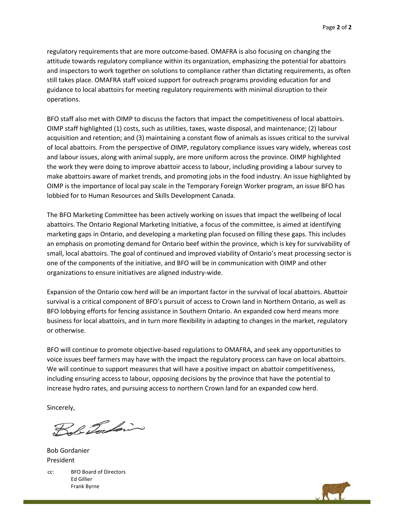regulatory requirements that are more outcome-based. OMAFRA is also focusing on changing the attitude towards regulatory compliance within its organization, emphasizing the potential for abattoirs and inspectors to work together on solutions to compliance rather than dictating requirements, as often still takes place. OMAFRA staff voiced support for outreach programs providing education for and guidance to local abattoirs for meeting regulatory requirements with minimal disruption to their operations.

BFO staff also met with OIMP to discuss the factors that impact the competitiveness of local abattoirs. OIMP staff highlighted (1) costs, such as utilities, taxes, waste disposal, and maintenance; (2) labour acquisition and retention; and (3) maintaining a constant flow of animals as issues critical to the survival of local abattoirs. From the perspective of OIMP, regulatory compliance issues vary widely, whereas cost and labour issues, along with animal supply, are more uniform across the province. OIMP highlighted the work they were doing to improve abattoir access to labour, including providing a labour survey to make abattoirs aware of market trends, and promoting jobs in the food industry. An issue highlighted by OIMP is the importance of local pay scale in the Temporary Foreign Worker program, an issue BFO has lobbied for to Human Resources and Skills Development Canada.

The BFO Marketing Committee has been actively working on issues that impact the wellbeing of local abattoirs. The Ontario Regional Marketing Initiative, a focus of the committee, is aimed at identifying marketing gaps in Ontario, and developing a marketing plan focused on filling these gaps. This includes an emphasis on promoting demand for Ontario beef within the province, which is key for survivability of small, local abattoirs. The goal of continued and improved viability of Ontario's meat processing sector is one of the components of the initiative, and BFO will be in communication with OIMP and other organizations to ensure initiatives are aligned industry-wide.

Expansion of the Ontario cow herd will be an important factor in the survival of local abattoirs. Abattoir survival is a critical component of BFO's pursuit of access to Crown land in Northern Ontario, as well as BFO lobbying efforts for fencing assistance in Southern Ontario. An expanded cow herd means more business for local abattoirs, and in turn more flexibility in adapting to changes in the market, regulatory or otherwise.

BFO will continue to promote objective-based regulations to OMAFRA, and seek any opportunities to voice issues beef farmers may have with the impact the regulatory process can have on local abattoirs. We will continue to support measures that will have a positive impact on abattoir competitiveness, including ensuring access to labour, opposing decisions by the province that have the potential to increase hydro rates, and pursuing access to northern Crown land for an expanded cow herd.

Sincerely,

Bob Tocking

Bob Gordanier President

cc: BFO Board of Directors Ed Gillier Frank Byrne

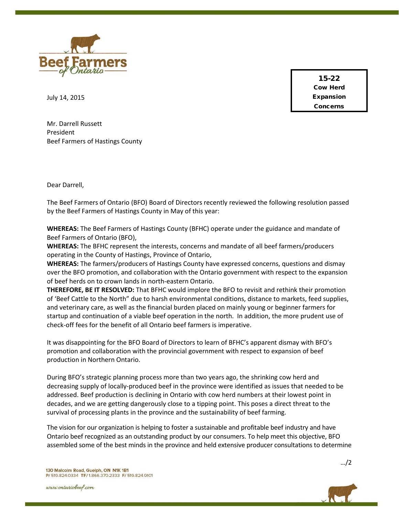

15-22 Cow Herd Expansion Concerns

July 14, 2015

Mr. Darrell Russett President Beef Farmers of Hastings County

Dear Darrell,

The Beef Farmers of Ontario (BFO) Board of Directors recently reviewed the following resolution passed by the Beef Farmers of Hastings County in May of this year:

**WHEREAS:** The Beef Farmers of Hastings County (BFHC) operate under the guidance and mandate of Beef Farmers of Ontario (BFO),

**WHEREAS:** The BFHC represent the interests, concerns and mandate of all beef farmers/producers operating in the County of Hastings, Province of Ontario,

**WHEREAS:** The farmers/producers of Hastings County have expressed concerns, questions and dismay over the BFO promotion, and collaboration with the Ontario government with respect to the expansion of beef herds on to crown lands in north-eastern Ontario.

**THEREFORE, BE IT RESOLVED:** That BFHC would implore the BFO to revisit and rethink their promotion of 'Beef Cattle to the North" due to harsh environmental conditions, distance to markets, feed supplies, and veterinary care, as well as the financial burden placed on mainly young or beginner farmers for startup and continuation of a viable beef operation in the north. In addition, the more prudent use of check-off fees for the benefit of all Ontario beef farmers is imperative.

It was disappointing for the BFO Board of Directors to learn of BFHC's apparent dismay with BFO's promotion and collaboration with the provincial government with respect to expansion of beef production in Northern Ontario.

During BFO's strategic planning process more than two years ago, the shrinking cow herd and decreasing supply of locally-produced beef in the province were identified as issues that needed to be addressed. Beef production is declining in Ontario with cow herd numbers at their lowest point in decades, and we are getting dangerously close to a tipping point. This poses a direct threat to the survival of processing plants in the province and the sustainability of beef farming.

The vision for our organization is helping to foster a sustainable and profitable beef industry and have Ontario beef recognized as an outstanding product by our consumers. To help meet this objective, BFO assembled some of the best minds in the province and held extensive producer consultations to determine



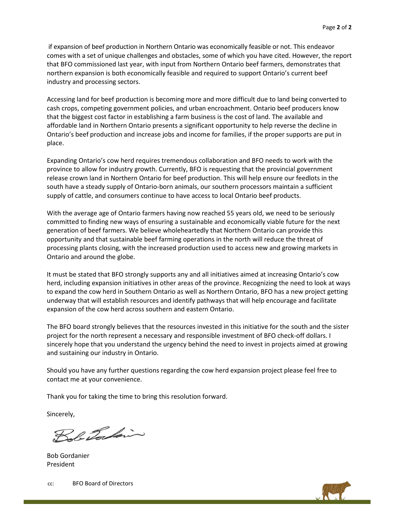if expansion of beef production in Northern Ontario was economically feasible or not. This endeavor comes with a set of unique challenges and obstacles, some of which you have cited. However, the report that BFO commissioned last year, with input from Northern Ontario beef farmers, demonstrates that northern expansion is both economically feasible and required to support Ontario's current beef industry and processing sectors.

Accessing land for beef production is becoming more and more difficult due to land being converted to cash crops, competing government policies, and urban encroachment. Ontario beef producers know that the biggest cost factor in establishing a farm business is the cost of land. The available and affordable land in Northern Ontario presents a significant opportunity to help reverse the decline in Ontario's beef production and increase jobs and income for families, if the proper supports are put in place.

Expanding Ontario's cow herd requires tremendous collaboration and BFO needs to work with the province to allow for industry growth. Currently, BFO is requesting that the provincial government release crown land in Northern Ontario for beef production. This will help ensure our feedlots in the south have a steady supply of Ontario-born animals, our southern processors maintain a sufficient supply of cattle, and consumers continue to have access to local Ontario beef products.

With the average age of Ontario farmers having now reached 55 years old, we need to be seriously committed to finding new ways of ensuring a sustainable and economically viable future for the next generation of beef farmers. We believe wholeheartedly that Northern Ontario can provide this opportunity and that sustainable beef farming operations in the north will reduce the threat of processing plants closing, with the increased production used to access new and growing markets in Ontario and around the globe.

It must be stated that BFO strongly supports any and all initiatives aimed at increasing Ontario's cow herd, including expansion initiatives in other areas of the province. Recognizing the need to look at ways to expand the cow herd in Southern Ontario as well as Northern Ontario, BFO has a new project getting underway that will establish resources and identify pathways that will help encourage and facilitate expansion of the cow herd across southern and eastern Ontario.

The BFO board strongly believes that the resources invested in this initiative for the south and the sister project for the north represent a necessary and responsible investment of BFO check-off dollars. I sincerely hope that you understand the urgency behind the need to invest in projects aimed at growing and sustaining our industry in Ontario.

Should you have any further questions regarding the cow herd expansion project please feel free to contact me at your convenience.

Thank you for taking the time to bring this resolution forward.

Sincerely,

Bob Tocking

Bob Gordanier President

cc: BFO Board of Directors

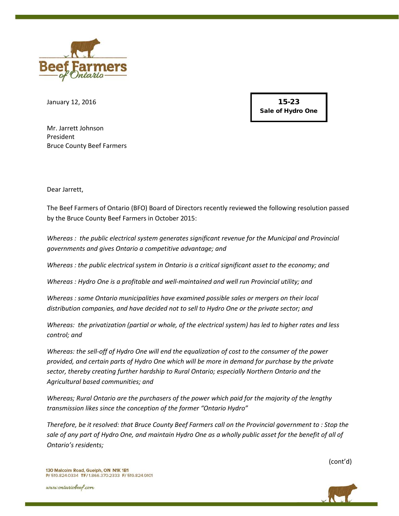

January 12, 2016

15-23 Sale of Hydro One

Mr. Jarrett Johnson President Bruce County Beef Farmers

Dear Jarrett,

The Beef Farmers of Ontario (BFO) Board of Directors recently reviewed the following resolution passed by the Bruce County Beef Farmers in October 2015:

*Whereas : the public electrical system generates significant revenue for the Municipal and Provincial governments and gives Ontario a competitive advantage; and* 

*Whereas : the public electrical system in Ontario is a critical significant asset to the economy; and*

*Whereas : Hydro One is a profitable and well-maintained and well run Provincial utility; and*

*Whereas : some Ontario municipalities have examined possible sales or mergers on their local distribution companies, and have decided not to sell to Hydro One or the private sector; and*

*Whereas: the privatization (partial or whole, of the electrical system) has led to higher rates and less control; and*

*Whereas: the sell-off of Hydro One will end the equalization of cost to the consumer of the power provided, and certain parts of Hydro One which will be more in demand for purchase by the private sector, thereby creating further hardship to Rural Ontario; especially Northern Ontario and the Agricultural based communities; and*

*Whereas; Rural Ontario are the purchasers of the power which paid for the majority of the lengthy transmission likes since the conception of the former "Ontario Hydro"*

*Therefore, be it resolved: that Bruce County Beef Farmers call on the Provincial government to : Stop the sale of any part of Hydro One, and maintain Hydro One as a wholly public asset for the benefit of all of Ontario's residents;*

(cont'd)



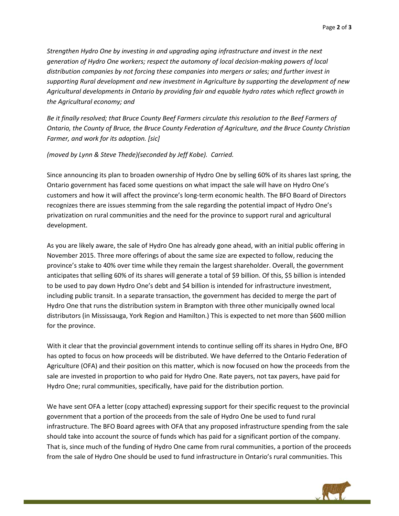*Strengthen Hydro One by investing in and upgrading aging infrastructure and invest in the next generation of Hydro One workers; respect the automony of local decision-making powers of local distribution companies by not forcing these companies into mergers or sales; and further invest in supporting Rural development and new investment in Agriculture by supporting the development of new Agricultural developments in Ontario by providing fair and equable hydro rates which reflect growth in the Agricultural economy; and*

*Be it finally resolved; that Bruce County Beef Farmers circulate this resolution to the Beef Farmers of Ontario, the County of Bruce, the Bruce County Federation of Agriculture, and the Bruce County Christian Farmer, and work for its adoption. [sic]*

#### *(moved by Lynn & Steve Thede)(seconded by Jeff Kobe). Carried.*

Since announcing its plan to broaden ownership of Hydro One by selling 60% of its shares last spring, the Ontario government has faced some questions on what impact the sale will have on Hydro One's customers and how it will affect the province's long-term economic health. The BFO Board of Directors recognizes there are issues stemming from the sale regarding the potential impact of Hydro One's privatization on rural communities and the need for the province to support rural and agricultural development.

As you are likely aware, the sale of Hydro One has already gone ahead, with an initial public offering in November 2015. Three more offerings of about the same size are expected to follow, reducing the province's stake to 40% over time while they remain the largest shareholder. Overall, the government anticipates that selling 60% of its shares will generate a total of \$9 billion. Of this, \$5 billion is intended to be used to pay down Hydro One's debt and \$4 billion is intended for infrastructure investment, including public transit. In a separate transaction, the government has decided to merge the part of Hydro One that runs the distribution system in Brampton with three other municipally owned local distributors (in Mississauga, York Region and Hamilton.) This is expected to net more than \$600 million for the province.

With it clear that the provincial government intends to continue selling off its shares in Hydro One, BFO has opted to focus on how proceeds will be distributed. We have deferred to the Ontario Federation of Agriculture (OFA) and their position on this matter, which is now focused on how the proceeds from the sale are invested in proportion to who paid for Hydro One. Rate payers, not tax payers, have paid for Hydro One; rural communities, specifically, have paid for the distribution portion.

We have sent OFA a letter (copy attached) expressing support for their specific request to the provincial government that a portion of the proceeds from the sale of Hydro One be used to fund rural infrastructure. The BFO Board agrees with OFA that any proposed infrastructure spending from the sale should take into account the source of funds which has paid for a significant portion of the company. That is, since much of the funding of Hydro One came from rural communities, a portion of the proceeds from the sale of Hydro One should be used to fund infrastructure in Ontario's rural communities. This